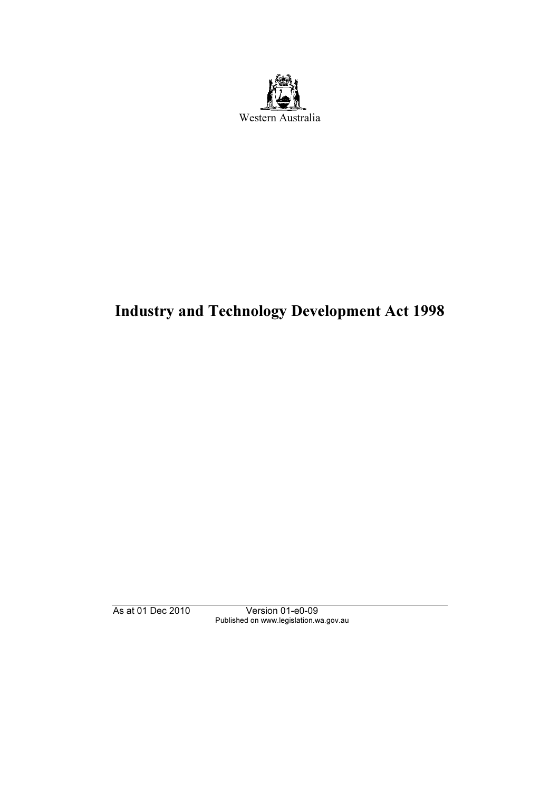

# Industry and Technology Development Act 1998

As at 01 Dec 2010 Version 01-e0-09 Published on www.legislation.wa.gov.au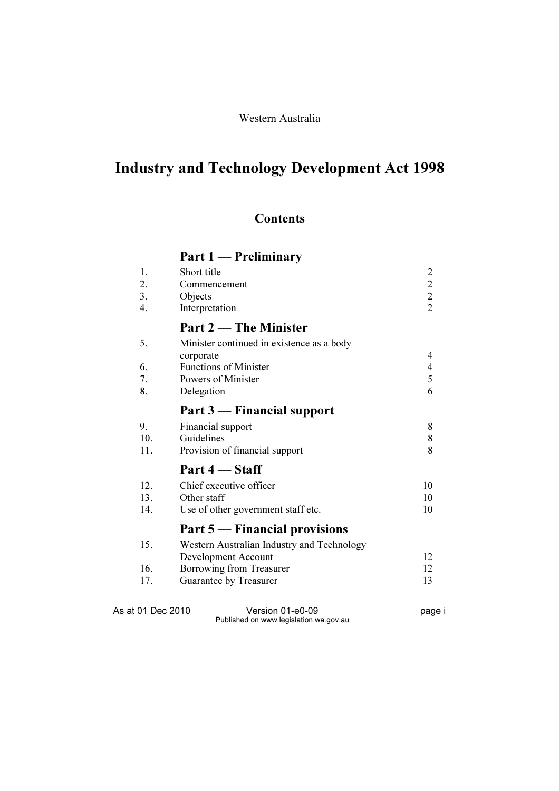### Western Australia

# Industry and Technology Development Act 1998

### **Contents**

# Part 1 — Preliminary

| 1.  | Short title                                |                                            |
|-----|--------------------------------------------|--------------------------------------------|
| 2.  | Commencement                               |                                            |
| 3.  | Objects                                    | $\begin{array}{c} 2 \\ 2 \\ 2 \end{array}$ |
| 4.  | Interpretation                             |                                            |
|     | Part 2 – The Minister                      |                                            |
| 5.  | Minister continued in existence as a body  |                                            |
|     | corporate                                  | 4                                          |
| 6.  | <b>Functions of Minister</b>               | $\overline{\mathcal{L}}$                   |
| 7.  | Powers of Minister                         | 5                                          |
| 8.  | Delegation                                 | 6                                          |
|     | Part 3 — Financial support                 |                                            |
| 9.  | Financial support                          | 8                                          |
| 10. | Guidelines                                 | 8                                          |
| 11. | Provision of financial support             | 8                                          |
|     | Part 4 – Staff                             |                                            |
| 12. | Chief executive officer                    | 10                                         |
| 13. | Other staff                                | 10                                         |
| 14. | Use of other government staff etc.         | 10                                         |
|     | Part 5 — Financial provisions              |                                            |
| 15. | Western Australian Industry and Technology |                                            |
|     | Development Account                        | 12                                         |
| 16. | Borrowing from Treasurer                   | 12                                         |
| 17. | Guarantee by Treasurer                     | 13                                         |
|     |                                            |                                            |
|     |                                            |                                            |

As at 01 Dec 2010 Version 01-e0-09 Page i Published on www.legislation.wa.gov.au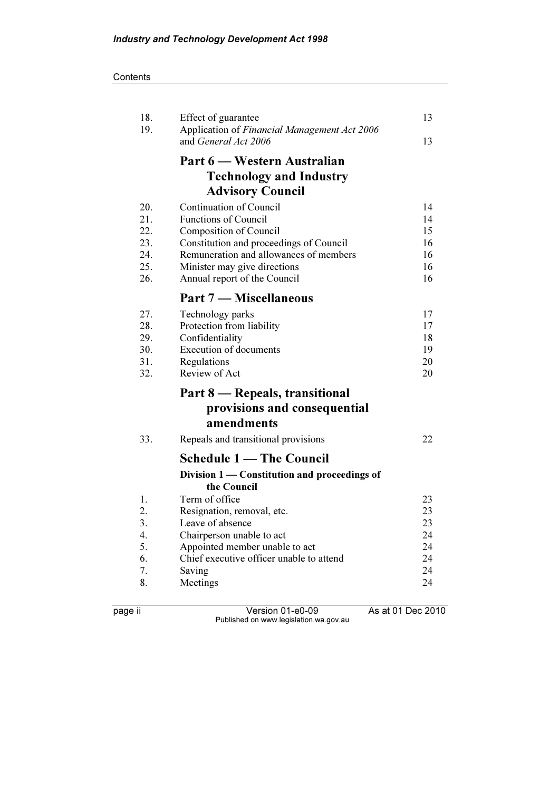**Contents** 

| 18.<br>19.                                    | Effect of guarantee<br>Application of Financial Management Act 2006<br>and General Act 2006                                                                                                                                           | 13<br>13                                     |
|-----------------------------------------------|---------------------------------------------------------------------------------------------------------------------------------------------------------------------------------------------------------------------------------------|----------------------------------------------|
|                                               | Part 6 — Western Australian<br><b>Technology and Industry</b><br><b>Advisory Council</b>                                                                                                                                              |                                              |
| 20.<br>21.<br>22.<br>23.<br>24.<br>25.<br>26. | Continuation of Council<br><b>Functions of Council</b><br>Composition of Council<br>Constitution and proceedings of Council<br>Remuneration and allowances of members<br>Minister may give directions<br>Annual report of the Council | 14<br>14<br>15<br>16<br>16<br>16<br>16       |
| 27.<br>28.<br>29.<br>30.<br>31.<br>32.        | Part 7 — Miscellaneous<br>Technology parks<br>Protection from liability<br>Confidentiality<br>Execution of documents<br>Regulations<br>Review of Act                                                                                  | 17<br>17<br>18<br>19<br>20<br>20             |
|                                               | Part 8 – Repeals, transitional<br>provisions and consequential<br>amendments                                                                                                                                                          |                                              |
| 33.                                           | Repeals and transitional provisions<br><b>Schedule 1 — The Council</b><br>Division 1 - Constitution and proceedings of                                                                                                                | 22                                           |
| 1.<br>2.<br>3.<br>4.<br>5.<br>6.<br>7.<br>8.  | the Council<br>Term of office<br>Resignation, removal, etc.<br>Leave of absence<br>Chairperson unable to act<br>Appointed member unable to act<br>Chief executive officer unable to attend<br>Saving<br>Meetings                      | 23<br>23<br>23<br>24<br>24<br>24<br>24<br>24 |

page ii Version 01-e0-09 As at 01 Dec 2010 Published on www.legislation.wa.gov.au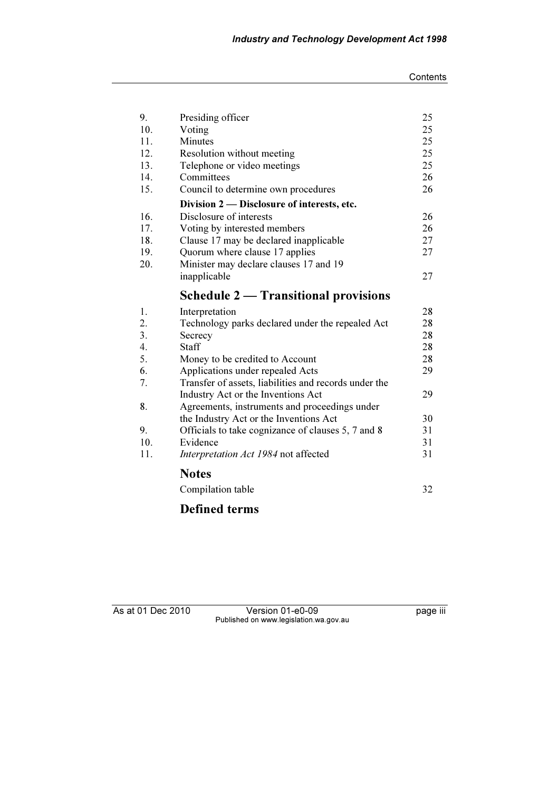| 9.               | Presiding officer                                     | 25 |
|------------------|-------------------------------------------------------|----|
| 10.              | Voting                                                | 25 |
| 11.              | <b>Minutes</b>                                        | 25 |
| 12.              | Resolution without meeting                            | 25 |
| 13.              | Telephone or video meetings                           | 25 |
| 14.              | Committees                                            | 26 |
| 15.              | Council to determine own procedures                   | 26 |
|                  | Division 2 — Disclosure of interests, etc.            |    |
| 16.              | Disclosure of interests                               | 26 |
| 17.              | Voting by interested members                          | 26 |
| 18.              | Clause 17 may be declared inapplicable                | 27 |
| 19.              | Quorum where clause 17 applies                        | 27 |
| 20.              | Minister may declare clauses 17 and 19                |    |
|                  | inapplicable                                          | 27 |
|                  | <b>Schedule 2 — Transitional provisions</b>           |    |
| 1.               | Interpretation                                        | 28 |
| 2.               | Technology parks declared under the repealed Act      | 28 |
| 3.               | Secrecy                                               | 28 |
| $\overline{4}$ . | <b>Staff</b>                                          | 28 |
| 5.               | Money to be credited to Account                       | 28 |
| 6.               | Applications under repealed Acts                      | 29 |
| 7.               | Transfer of assets, liabilities and records under the |    |
|                  | Industry Act or the Inventions Act                    | 29 |
| 8.               | Agreements, instruments and proceedings under         |    |
|                  | the Industry Act or the Inventions Act                | 30 |
| 9.               | Officials to take cognizance of clauses 5, 7 and 8    | 31 |
| 10.              | Evidence                                              | 31 |
| 11.              | Interpretation Act 1984 not affected                  | 31 |
|                  | <b>Notes</b>                                          |    |
|                  | Compilation table                                     | 32 |
|                  |                                                       |    |

# Defined terms

As at 01 Dec 2010 Version 01-e0-09 page iii Published on www.legislation.wa.gov.au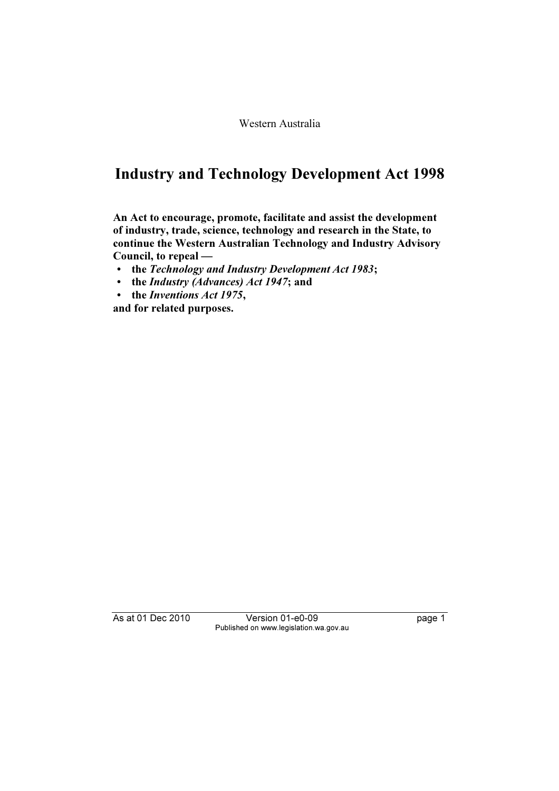Western Australia

# Industry and Technology Development Act 1998

An Act to encourage, promote, facilitate and assist the development of industry, trade, science, technology and research in the State, to continue the Western Australian Technology and Industry Advisory Council, to repeal —

- the Technology and Industry Development Act 1983;
- the Industry (Advances) Act 1947; and
- the Inventions Act 1975,

and for related purposes.

As at 01 Dec 2010 Version 01-e0-09 page 1 Published on www.legislation.wa.gov.au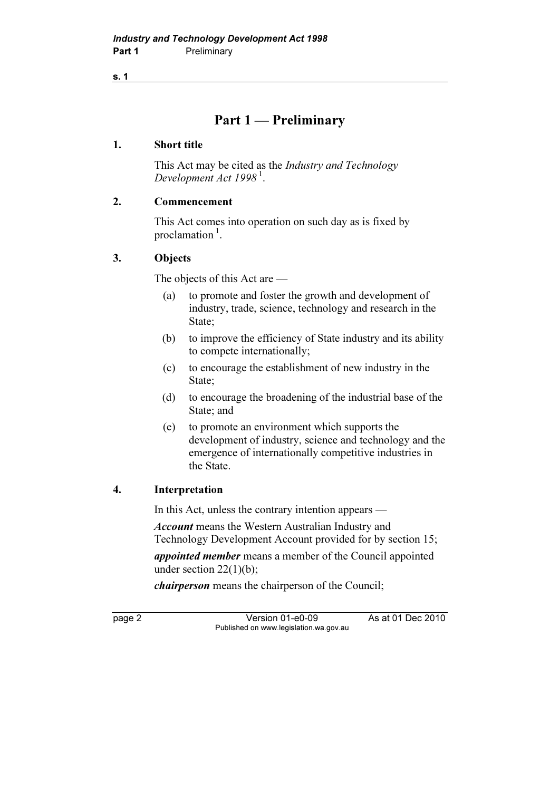### Part 1 — Preliminary

### 1. Short title

 This Act may be cited as the Industry and Technology Development Act  $1998<sup>1</sup>$ .

### 2. Commencement

 This Act comes into operation on such day as is fixed by proclamation $\frac{1}{1}$ .

### 3. Objects

The objects of this Act are —

- (a) to promote and foster the growth and development of industry, trade, science, technology and research in the State;
- (b) to improve the efficiency of State industry and its ability to compete internationally;
- (c) to encourage the establishment of new industry in the State;
- (d) to encourage the broadening of the industrial base of the State; and
- (e) to promote an environment which supports the development of industry, science and technology and the emergence of internationally competitive industries in the State.

### 4. Interpretation

In this Act, unless the contrary intention appears —

Account means the Western Australian Industry and Technology Development Account provided for by section 15;

appointed member means a member of the Council appointed under section  $22(1)(b)$ ;

chairperson means the chairperson of the Council;

page 2 Version 01-e0-09 As at 01 Dec 2010 Published on www.legislation.wa.gov.au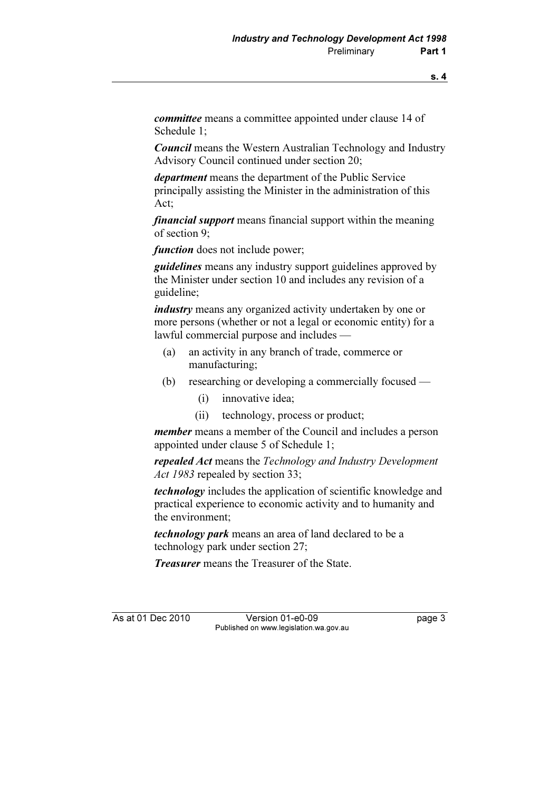committee means a committee appointed under clause 14 of Schedule 1;

Council means the Western Australian Technology and Industry Advisory Council continued under section 20;

department means the department of the Public Service principally assisting the Minister in the administration of this Act;

financial support means financial support within the meaning of section 9;

function does not include power;

**guidelines** means any industry support guidelines approved by the Minister under section 10 and includes any revision of a guideline;

industry means any organized activity undertaken by one or more persons (whether or not a legal or economic entity) for a lawful commercial purpose and includes —

- (a) an activity in any branch of trade, commerce or manufacturing;
- (b) researching or developing a commercially focused
	- (i) innovative idea;
	- (ii) technology, process or product;

member means a member of the Council and includes a person appointed under clause 5 of Schedule 1;

repealed Act means the Technology and Industry Development Act 1983 repealed by section 33;

technology includes the application of scientific knowledge and practical experience to economic activity and to humanity and the environment;

technology park means an area of land declared to be a technology park under section 27;

**Treasurer** means the Treasurer of the State.

As at 01 Dec 2010 Version 01-e0-09 Page 3 Published on www.legislation.wa.gov.au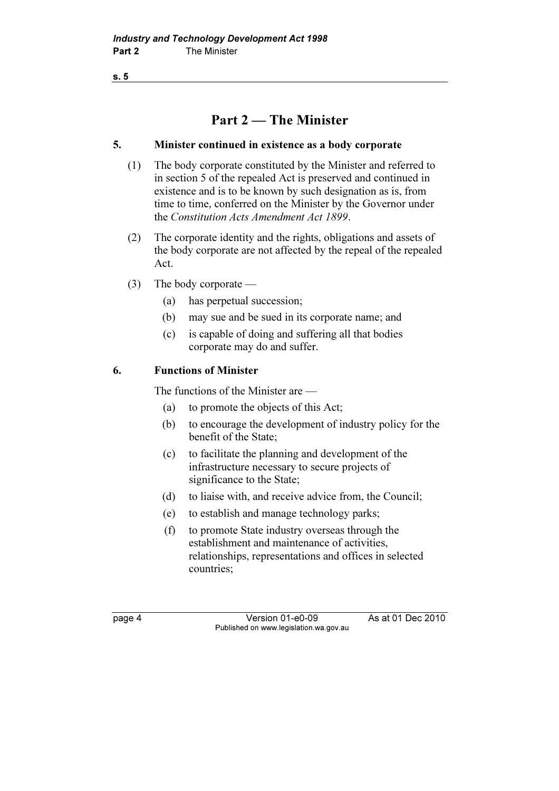### Part 2 — The Minister

### 5. Minister continued in existence as a body corporate

- (1) The body corporate constituted by the Minister and referred to in section 5 of the repealed Act is preserved and continued in existence and is to be known by such designation as is, from time to time, conferred on the Minister by the Governor under the Constitution Acts Amendment Act 1899.
- (2) The corporate identity and the rights, obligations and assets of the body corporate are not affected by the repeal of the repealed Act.
- (3) The body corporate
	- (a) has perpetual succession;
	- (b) may sue and be sued in its corporate name; and
	- (c) is capable of doing and suffering all that bodies corporate may do and suffer.

### 6. Functions of Minister

The functions of the Minister are —

- (a) to promote the objects of this Act;
- (b) to encourage the development of industry policy for the benefit of the State;
- (c) to facilitate the planning and development of the infrastructure necessary to secure projects of significance to the State;
- (d) to liaise with, and receive advice from, the Council;
- (e) to establish and manage technology parks;
- (f) to promote State industry overseas through the establishment and maintenance of activities, relationships, representations and offices in selected countries;

page 4 Version 01-e0-09 As at 01 Dec 2010 Published on www.legislation.wa.gov.au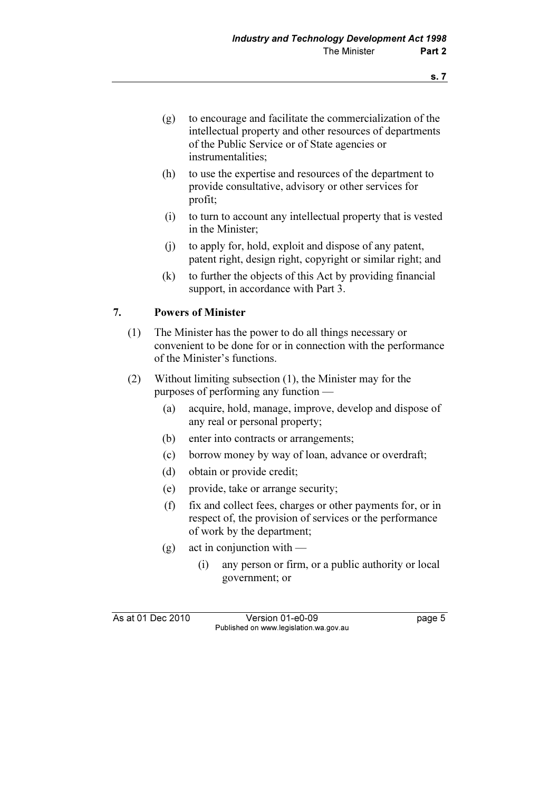- (g) to encourage and facilitate the commercialization of the intellectual property and other resources of departments of the Public Service or of State agencies or instrumentalities;
- (h) to use the expertise and resources of the department to provide consultative, advisory or other services for profit;
- (i) to turn to account any intellectual property that is vested in the Minister;
- (j) to apply for, hold, exploit and dispose of any patent, patent right, design right, copyright or similar right; and
- (k) to further the objects of this Act by providing financial support, in accordance with Part 3.

### 7. Powers of Minister

- (1) The Minister has the power to do all things necessary or convenient to be done for or in connection with the performance of the Minister's functions.
- (2) Without limiting subsection (1), the Minister may for the purposes of performing any function —
	- (a) acquire, hold, manage, improve, develop and dispose of any real or personal property;
	- (b) enter into contracts or arrangements;
	- (c) borrow money by way of loan, advance or overdraft;
	- (d) obtain or provide credit;
	- (e) provide, take or arrange security;
	- (f) fix and collect fees, charges or other payments for, or in respect of, the provision of services or the performance of work by the department;
	- $(g)$  act in conjunction with
		- (i) any person or firm, or a public authority or local government; or

As at 01 Dec 2010 Version 01-e0-09 Page 5 Published on www.legislation.wa.gov.au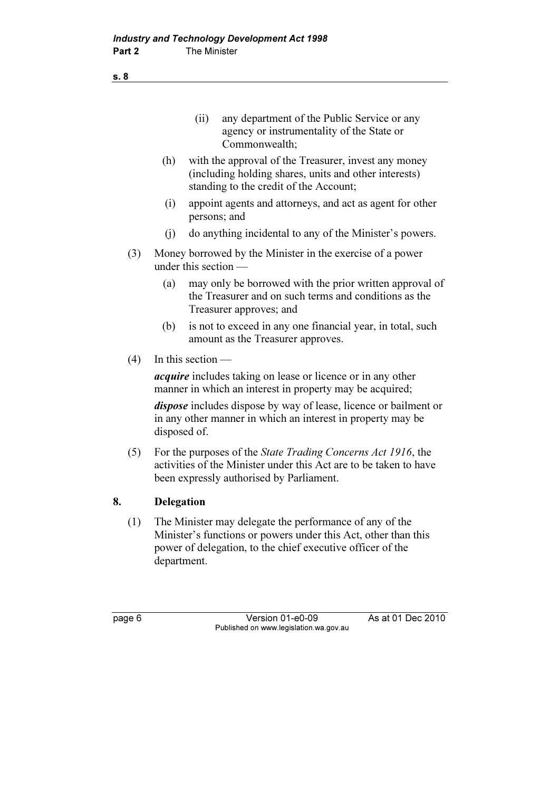- (ii) any department of the Public Service or any agency or instrumentality of the State or Commonwealth;
- (h) with the approval of the Treasurer, invest any money (including holding shares, units and other interests) standing to the credit of the Account;
- (i) appoint agents and attorneys, and act as agent for other persons; and
- (j) do anything incidental to any of the Minister's powers.
- (3) Money borrowed by the Minister in the exercise of a power under this section —
	- (a) may only be borrowed with the prior written approval of the Treasurer and on such terms and conditions as the Treasurer approves; and
	- (b) is not to exceed in any one financial year, in total, such amount as the Treasurer approves.
- (4) In this section —

*acquire* includes taking on lease or licence or in any other manner in which an interest in property may be acquired;

dispose includes dispose by way of lease, licence or bailment or in any other manner in which an interest in property may be disposed of.

 (5) For the purposes of the State Trading Concerns Act 1916, the activities of the Minister under this Act are to be taken to have been expressly authorised by Parliament.

### 8. Delegation

 (1) The Minister may delegate the performance of any of the Minister's functions or powers under this Act, other than this power of delegation, to the chief executive officer of the department.

page 6 Version 01-e0-09 As at 01 Dec 2010 Published on www.legislation.wa.gov.au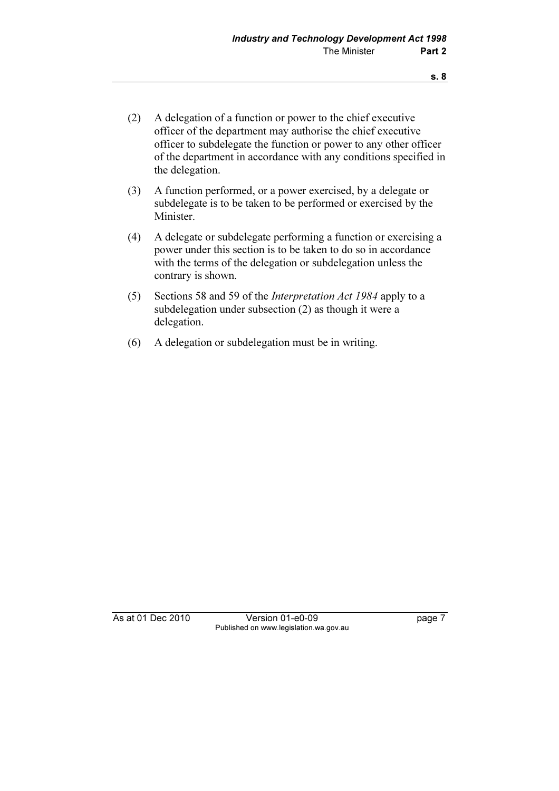- (2) A delegation of a function or power to the chief executive officer of the department may authorise the chief executive officer to subdelegate the function or power to any other officer of the department in accordance with any conditions specified in the delegation.
- (3) A function performed, or a power exercised, by a delegate or subdelegate is to be taken to be performed or exercised by the Minister.
- (4) A delegate or subdelegate performing a function or exercising a power under this section is to be taken to do so in accordance with the terms of the delegation or subdelegation unless the contrary is shown.
- (5) Sections 58 and 59 of the Interpretation Act 1984 apply to a subdelegation under subsection (2) as though it were a delegation.
- (6) A delegation or subdelegation must be in writing.

As at 01 Dec 2010 Version 01-e0-09 Page 7 Published on www.legislation.wa.gov.au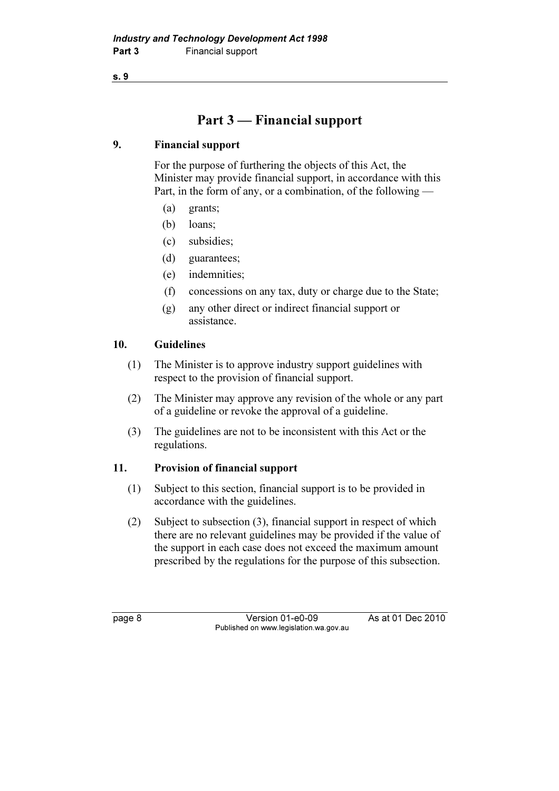## Part 3 — Financial support

### 9. Financial support

 For the purpose of furthering the objects of this Act, the Minister may provide financial support, in accordance with this Part, in the form of any, or a combination, of the following —

- (a) grants;
- (b) loans;
- (c) subsidies;
- (d) guarantees;
- (e) indemnities;
- (f) concessions on any tax, duty or charge due to the State;
- (g) any other direct or indirect financial support or assistance.

### 10. Guidelines

- (1) The Minister is to approve industry support guidelines with respect to the provision of financial support.
- (2) The Minister may approve any revision of the whole or any part of a guideline or revoke the approval of a guideline.
- (3) The guidelines are not to be inconsistent with this Act or the regulations.

### 11. Provision of financial support

- (1) Subject to this section, financial support is to be provided in accordance with the guidelines.
- (2) Subject to subsection (3), financial support in respect of which there are no relevant guidelines may be provided if the value of the support in each case does not exceed the maximum amount prescribed by the regulations for the purpose of this subsection.

page 8 Version 01-e0-09 As at 01 Dec 2010 Published on www.legislation.wa.gov.au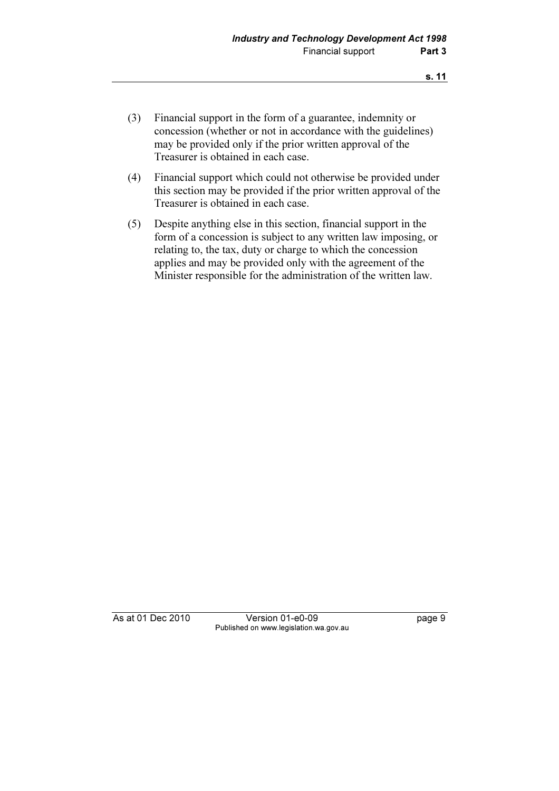- (3) Financial support in the form of a guarantee, indemnity or concession (whether or not in accordance with the guidelines) may be provided only if the prior written approval of the Treasurer is obtained in each case.
- (4) Financial support which could not otherwise be provided under this section may be provided if the prior written approval of the Treasurer is obtained in each case.
- (5) Despite anything else in this section, financial support in the form of a concession is subject to any written law imposing, or relating to, the tax, duty or charge to which the concession applies and may be provided only with the agreement of the Minister responsible for the administration of the written law.

As at 01 Dec 2010 Version 01-e0-09 Page 9 Published on www.legislation.wa.gov.au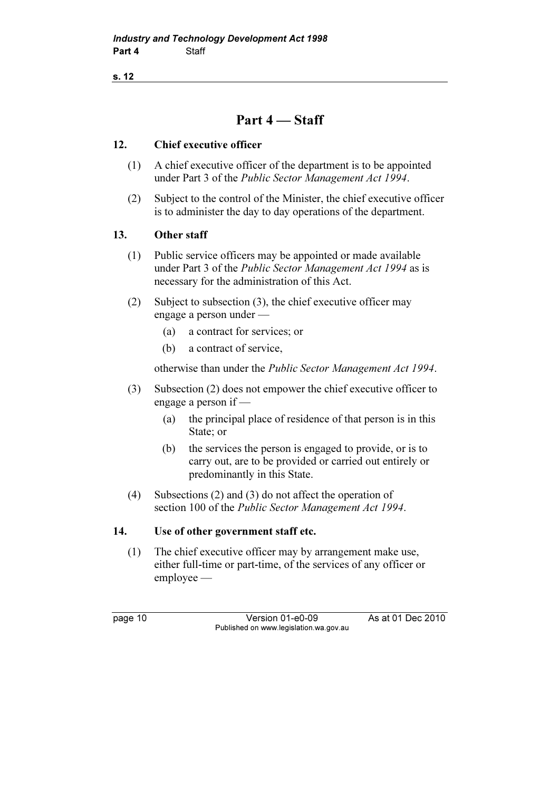### Part 4 — Staff

### 12. Chief executive officer

- (1) A chief executive officer of the department is to be appointed under Part 3 of the Public Sector Management Act 1994.
- (2) Subject to the control of the Minister, the chief executive officer is to administer the day to day operations of the department.

### 13. Other staff

- (1) Public service officers may be appointed or made available under Part 3 of the Public Sector Management Act 1994 as is necessary for the administration of this Act.
- (2) Subject to subsection (3), the chief executive officer may engage a person under —
	- (a) a contract for services; or
	- (b) a contract of service,

otherwise than under the Public Sector Management Act 1994.

- (3) Subsection (2) does not empower the chief executive officer to engage a person if —
	- (a) the principal place of residence of that person is in this State; or
	- (b) the services the person is engaged to provide, or is to carry out, are to be provided or carried out entirely or predominantly in this State.
- (4) Subsections (2) and (3) do not affect the operation of section 100 of the *Public Sector Management Act 1994*.

### 14. Use of other government staff etc.

 (1) The chief executive officer may by arrangement make use, either full-time or part-time, of the services of any officer or employee —

page 10 Version 01-e0-09 As at 01 Dec 2010 Published on www.legislation.wa.gov.au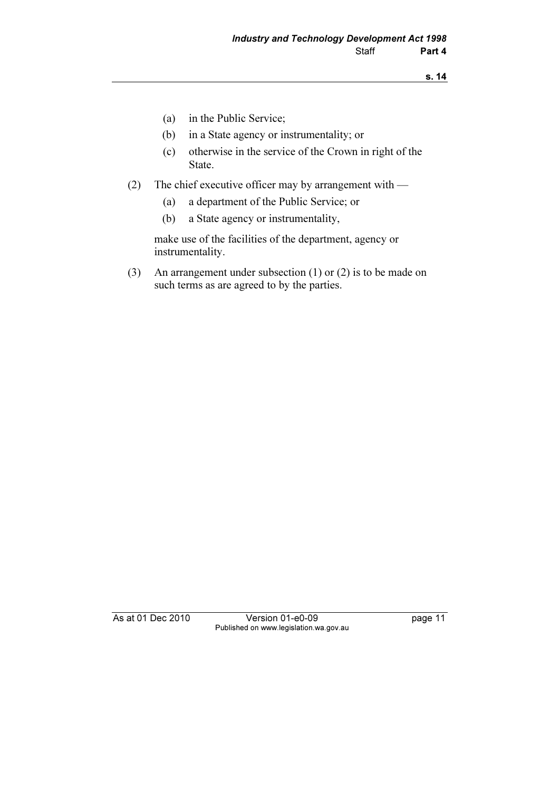- (a) in the Public Service;
- (b) in a State agency or instrumentality; or
- (c) otherwise in the service of the Crown in right of the State.
- (2) The chief executive officer may by arrangement with
	- (a) a department of the Public Service; or
	- (b) a State agency or instrumentality,

 make use of the facilities of the department, agency or instrumentality.

 (3) An arrangement under subsection (1) or (2) is to be made on such terms as are agreed to by the parties.

As at 01 Dec 2010 Version 01-e0-09 page 11 Published on www.legislation.wa.gov.au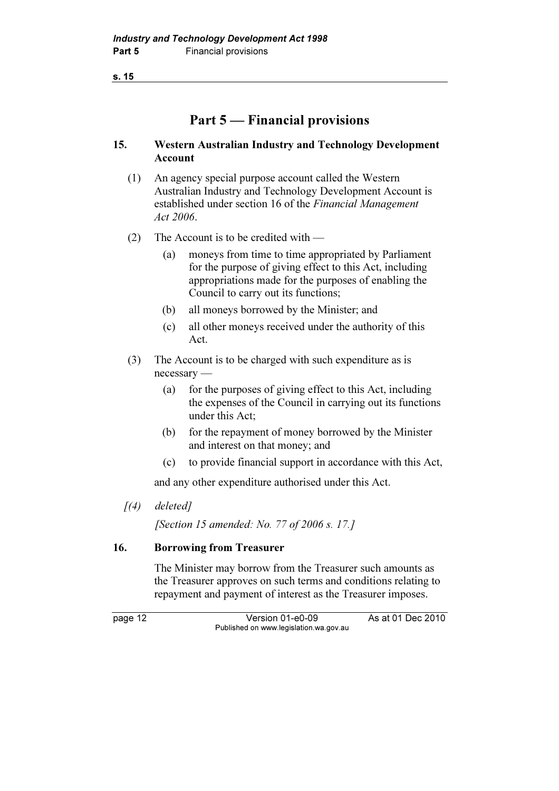### Part 5 — Financial provisions

### 15. Western Australian Industry and Technology Development Account

- (1) An agency special purpose account called the Western Australian Industry and Technology Development Account is established under section 16 of the Financial Management Act 2006.
- (2) The Account is to be credited with
	- (a) moneys from time to time appropriated by Parliament for the purpose of giving effect to this Act, including appropriations made for the purposes of enabling the Council to carry out its functions;
	- (b) all moneys borrowed by the Minister; and
	- (c) all other moneys received under the authority of this Act.
- (3) The Account is to be charged with such expenditure as is necessary —
	- (a) for the purposes of giving effect to this Act, including the expenses of the Council in carrying out its functions under this Act;
	- (b) for the repayment of money borrowed by the Minister and interest on that money; and
	- (c) to provide financial support in accordance with this Act,

and any other expenditure authorised under this Act.

 $(4)$  deleted]

[Section 15 amended: No. 77 of 2006 s. 17.]

### 16. Borrowing from Treasurer

 The Minister may borrow from the Treasurer such amounts as the Treasurer approves on such terms and conditions relating to repayment and payment of interest as the Treasurer imposes.

page 12 Version 01-e0-09 As at 01 Dec 2010 Published on www.legislation.wa.gov.au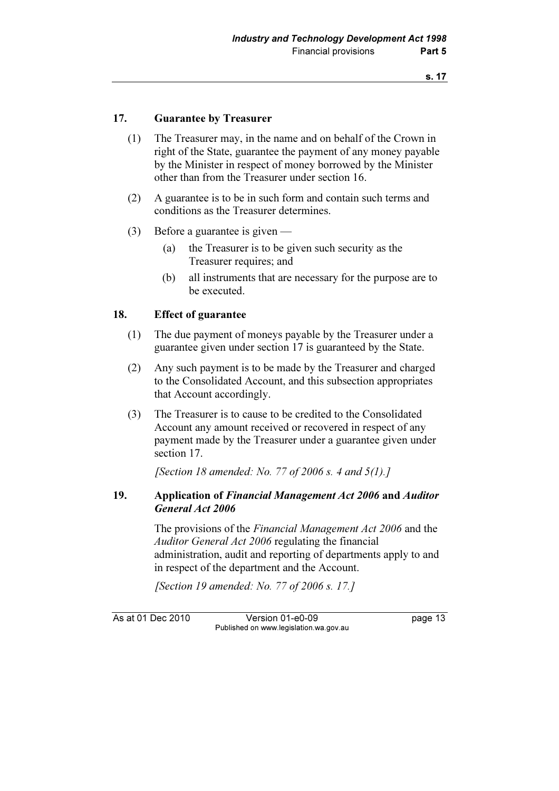### 17. Guarantee by Treasurer

- (1) The Treasurer may, in the name and on behalf of the Crown in right of the State, guarantee the payment of any money payable by the Minister in respect of money borrowed by the Minister other than from the Treasurer under section 16.
- (2) A guarantee is to be in such form and contain such terms and conditions as the Treasurer determines.
- (3) Before a guarantee is given
	- (a) the Treasurer is to be given such security as the Treasurer requires; and
	- (b) all instruments that are necessary for the purpose are to be executed.

### 18. Effect of guarantee

- (1) The due payment of moneys payable by the Treasurer under a guarantee given under section 17 is guaranteed by the State.
- (2) Any such payment is to be made by the Treasurer and charged to the Consolidated Account, and this subsection appropriates that Account accordingly.
- (3) The Treasurer is to cause to be credited to the Consolidated Account any amount received or recovered in respect of any payment made by the Treasurer under a guarantee given under section 17.

[Section 18 amended: No. 77 of 2006 s. 4 and  $5(1)$ .]

### 19. Application of Financial Management Act 2006 and Auditor General Act 2006

 The provisions of the Financial Management Act 2006 and the Auditor General Act 2006 regulating the financial administration, audit and reporting of departments apply to and in respect of the department and the Account.

[Section 19 amended: No. 77 of 2006 s. 17.]

As at 01 Dec 2010 Version 01-e0-09 Page 13 Published on www.legislation.wa.gov.au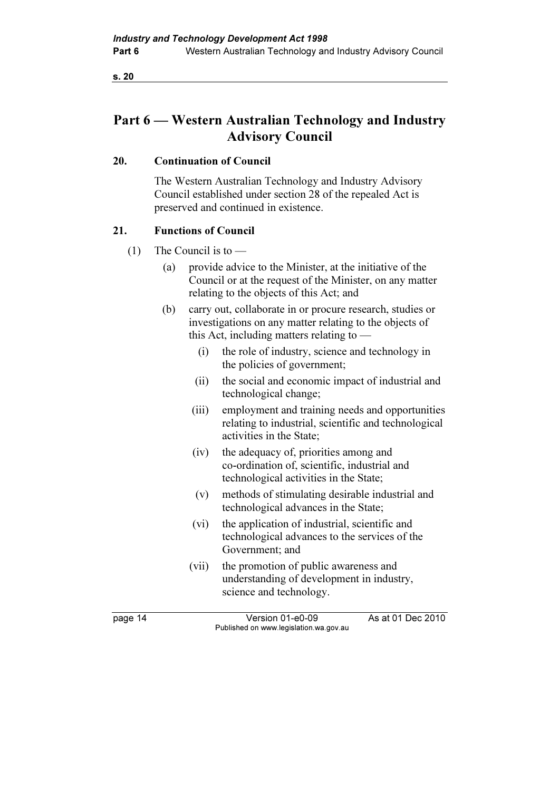### Part 6 — Western Australian Technology and Industry Advisory Council

### 20. Continuation of Council

 The Western Australian Technology and Industry Advisory Council established under section 28 of the repealed Act is preserved and continued in existence.

### 21. Functions of Council

- (1) The Council is to  $-$ 
	- (a) provide advice to the Minister, at the initiative of the Council or at the request of the Minister, on any matter relating to the objects of this Act; and
	- (b) carry out, collaborate in or procure research, studies or investigations on any matter relating to the objects of this Act, including matters relating to —
		- (i) the role of industry, science and technology in the policies of government;
		- (ii) the social and economic impact of industrial and technological change;
		- (iii) employment and training needs and opportunities relating to industrial, scientific and technological activities in the State;
		- (iv) the adequacy of, priorities among and co-ordination of, scientific, industrial and technological activities in the State;
		- (v) methods of stimulating desirable industrial and technological advances in the State;
		- (vi) the application of industrial, scientific and technological advances to the services of the Government; and
		- (vii) the promotion of public awareness and understanding of development in industry, science and technology.

page 14 Version 01-e0-09 As at 01 Dec 2010 Published on www.legislation.wa.gov.au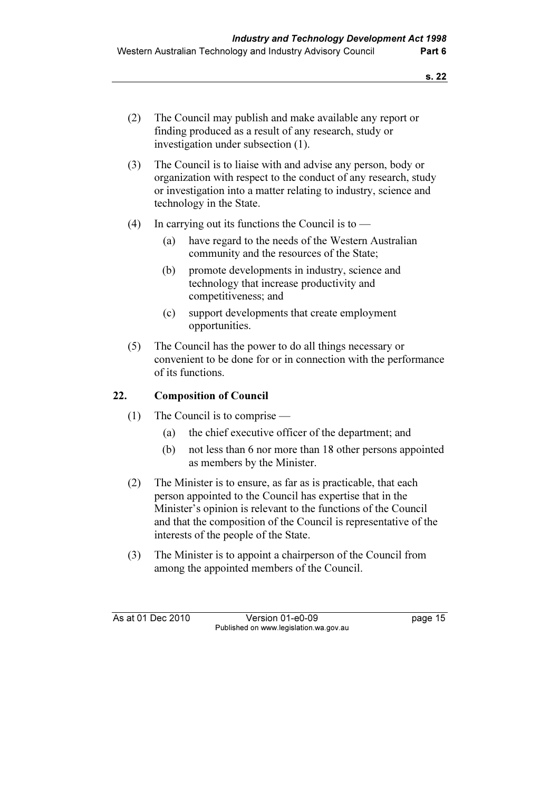- (2) The Council may publish and make available any report or finding produced as a result of any research, study or investigation under subsection (1).
- (3) The Council is to liaise with and advise any person, body or organization with respect to the conduct of any research, study or investigation into a matter relating to industry, science and technology in the State.
- (4) In carrying out its functions the Council is to  $-$ 
	- (a) have regard to the needs of the Western Australian community and the resources of the State;
	- (b) promote developments in industry, science and technology that increase productivity and competitiveness; and
	- (c) support developments that create employment opportunities.
- (5) The Council has the power to do all things necessary or convenient to be done for or in connection with the performance of its functions.

### 22. Composition of Council

- (1) The Council is to comprise
	- (a) the chief executive officer of the department; and
	- (b) not less than 6 nor more than 18 other persons appointed as members by the Minister.
- (2) The Minister is to ensure, as far as is practicable, that each person appointed to the Council has expertise that in the Minister's opinion is relevant to the functions of the Council and that the composition of the Council is representative of the interests of the people of the State.
- (3) The Minister is to appoint a chairperson of the Council from among the appointed members of the Council.

As at 01 Dec 2010 Version 01-e0-09 Page 15 Published on www.legislation.wa.gov.au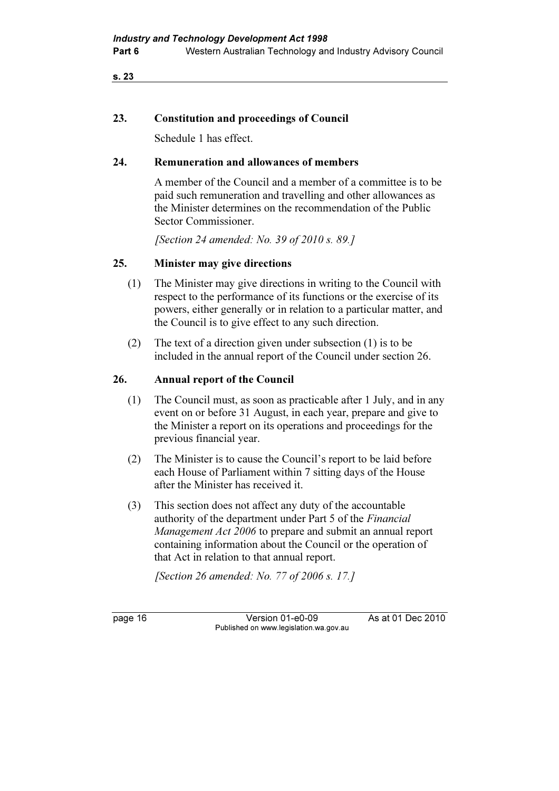### 23. Constitution and proceedings of Council

Schedule 1 has effect.

### 24. Remuneration and allowances of members

 A member of the Council and a member of a committee is to be paid such remuneration and travelling and other allowances as the Minister determines on the recommendation of the Public Sector Commissioner.

[Section 24 amended: No. 39 of 2010 s. 89.]

### 25. Minister may give directions

- (1) The Minister may give directions in writing to the Council with respect to the performance of its functions or the exercise of its powers, either generally or in relation to a particular matter, and the Council is to give effect to any such direction.
- (2) The text of a direction given under subsection (1) is to be included in the annual report of the Council under section 26.

### 26. Annual report of the Council

- (1) The Council must, as soon as practicable after 1 July, and in any event on or before 31 August, in each year, prepare and give to the Minister a report on its operations and proceedings for the previous financial year.
- (2) The Minister is to cause the Council's report to be laid before each House of Parliament within 7 sitting days of the House after the Minister has received it.
- (3) This section does not affect any duty of the accountable authority of the department under Part 5 of the Financial Management Act 2006 to prepare and submit an annual report containing information about the Council or the operation of that Act in relation to that annual report.

[Section 26 amended: No. 77 of 2006 s. 17.]

page 16 Version 01-e0-09 As at 01 Dec 2010 Published on www.legislation.wa.gov.au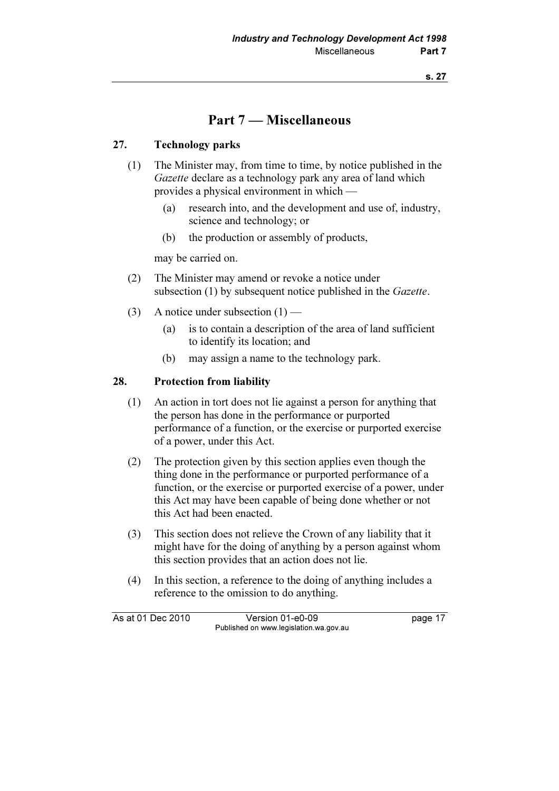### Part 7 — Miscellaneous

### 27. Technology parks

- (1) The Minister may, from time to time, by notice published in the Gazette declare as a technology park any area of land which provides a physical environment in which —
	- (a) research into, and the development and use of, industry, science and technology; or
	- (b) the production or assembly of products,

may be carried on.

- (2) The Minister may amend or revoke a notice under subsection (1) by subsequent notice published in the *Gazette*.
- (3) A notice under subsection  $(1)$ 
	- (a) is to contain a description of the area of land sufficient to identify its location; and
	- (b) may assign a name to the technology park.

### 28. Protection from liability

- (1) An action in tort does not lie against a person for anything that the person has done in the performance or purported performance of a function, or the exercise or purported exercise of a power, under this Act.
- (2) The protection given by this section applies even though the thing done in the performance or purported performance of a function, or the exercise or purported exercise of a power, under this Act may have been capable of being done whether or not this Act had been enacted.
- (3) This section does not relieve the Crown of any liability that it might have for the doing of anything by a person against whom this section provides that an action does not lie.
- (4) In this section, a reference to the doing of anything includes a reference to the omission to do anything.

As at 01 Dec 2010 Version 01-e0-09 page 17 Published on www.legislation.wa.gov.au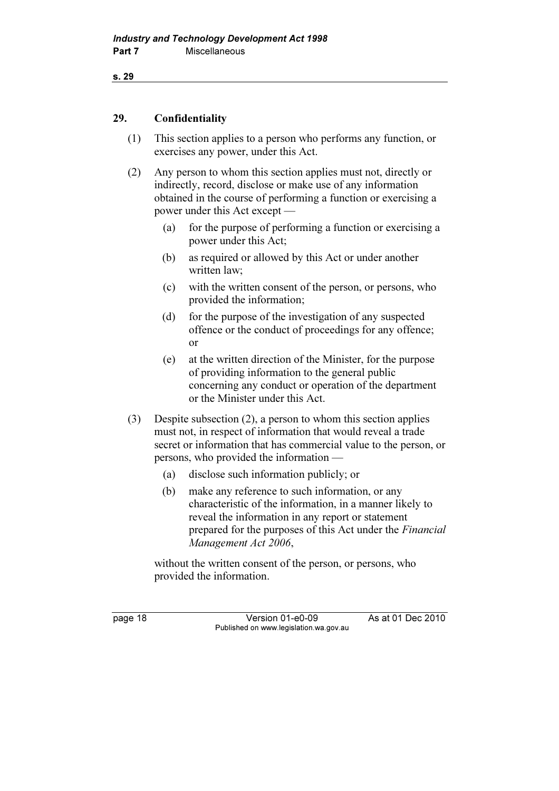```
s. 29
```
### 29. Confidentiality

- (1) This section applies to a person who performs any function, or exercises any power, under this Act.
- (2) Any person to whom this section applies must not, directly or indirectly, record, disclose or make use of any information obtained in the course of performing a function or exercising a power under this Act except —
	- (a) for the purpose of performing a function or exercising a power under this Act;
	- (b) as required or allowed by this Act or under another written law;
	- (c) with the written consent of the person, or persons, who provided the information;
	- (d) for the purpose of the investigation of any suspected offence or the conduct of proceedings for any offence; or
	- (e) at the written direction of the Minister, for the purpose of providing information to the general public concerning any conduct or operation of the department or the Minister under this Act.
- (3) Despite subsection (2), a person to whom this section applies must not, in respect of information that would reveal a trade secret or information that has commercial value to the person, or persons, who provided the information —
	- (a) disclose such information publicly; or
	- (b) make any reference to such information, or any characteristic of the information, in a manner likely to reveal the information in any report or statement prepared for the purposes of this Act under the Financial Management Act 2006,

 without the written consent of the person, or persons, who provided the information.

page 18 Version 01-e0-09 As at 01 Dec 2010 Published on www.legislation.wa.gov.au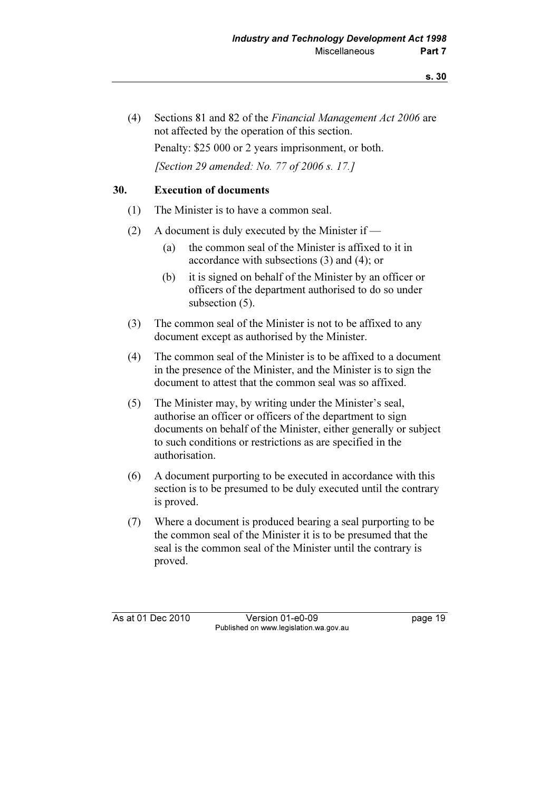(4) Sections 81 and 82 of the Financial Management Act 2006 are not affected by the operation of this section. Penalty: \$25 000 or 2 years imprisonment, or both. [Section 29 amended: No. 77 of 2006 s. 17.]

### 30. Execution of documents

- (1) The Minister is to have a common seal.
- (2) A document is duly executed by the Minister if
	- (a) the common seal of the Minister is affixed to it in accordance with subsections (3) and (4); or
	- (b) it is signed on behalf of the Minister by an officer or officers of the department authorised to do so under subsection  $(5)$ .
- (3) The common seal of the Minister is not to be affixed to any document except as authorised by the Minister.
- (4) The common seal of the Minister is to be affixed to a document in the presence of the Minister, and the Minister is to sign the document to attest that the common seal was so affixed.
- (5) The Minister may, by writing under the Minister's seal, authorise an officer or officers of the department to sign documents on behalf of the Minister, either generally or subject to such conditions or restrictions as are specified in the authorisation.
- (6) A document purporting to be executed in accordance with this section is to be presumed to be duly executed until the contrary is proved.
- (7) Where a document is produced bearing a seal purporting to be the common seal of the Minister it is to be presumed that the seal is the common seal of the Minister until the contrary is proved.

As at 01 Dec 2010 Version 01-e0-09 Page 19 Published on www.legislation.wa.gov.au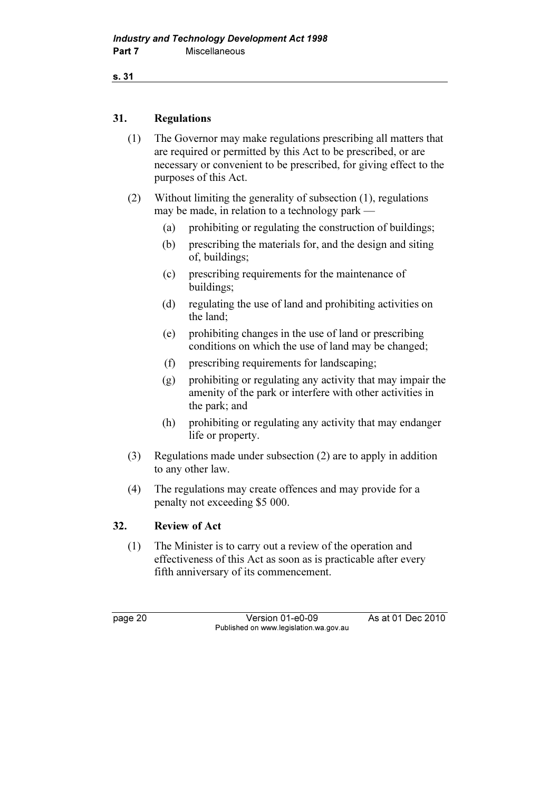```
s. 31
```
### 31. Regulations

- (1) The Governor may make regulations prescribing all matters that are required or permitted by this Act to be prescribed, or are necessary or convenient to be prescribed, for giving effect to the purposes of this Act.
- (2) Without limiting the generality of subsection (1), regulations may be made, in relation to a technology park —
	- (a) prohibiting or regulating the construction of buildings;
	- (b) prescribing the materials for, and the design and siting of, buildings;
	- (c) prescribing requirements for the maintenance of buildings;
	- (d) regulating the use of land and prohibiting activities on the land;
	- (e) prohibiting changes in the use of land or prescribing conditions on which the use of land may be changed;
	- (f) prescribing requirements for landscaping;
	- (g) prohibiting or regulating any activity that may impair the amenity of the park or interfere with other activities in the park; and
	- (h) prohibiting or regulating any activity that may endanger life or property.
- (3) Regulations made under subsection (2) are to apply in addition to any other law.
- (4) The regulations may create offences and may provide for a penalty not exceeding \$5 000.

### 32. Review of Act

 (1) The Minister is to carry out a review of the operation and effectiveness of this Act as soon as is practicable after every fifth anniversary of its commencement.

page 20 Version 01-e0-09 As at 01 Dec 2010 Published on www.legislation.wa.gov.au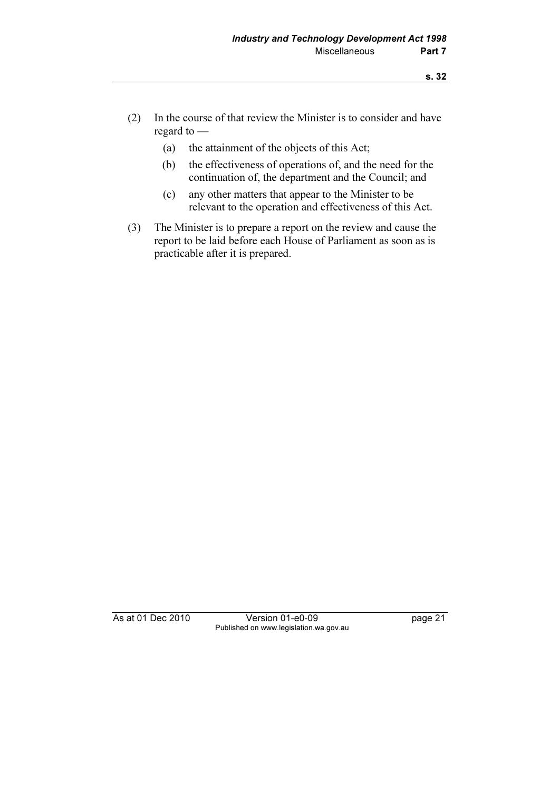- (2) In the course of that review the Minister is to consider and have regard to —
	- (a) the attainment of the objects of this Act;
	- (b) the effectiveness of operations of, and the need for the continuation of, the department and the Council; and
	- (c) any other matters that appear to the Minister to be relevant to the operation and effectiveness of this Act.
- (3) The Minister is to prepare a report on the review and cause the report to be laid before each House of Parliament as soon as is practicable after it is prepared.

As at 01 Dec 2010 Version 01-e0-09 page 21 Published on www.legislation.wa.gov.au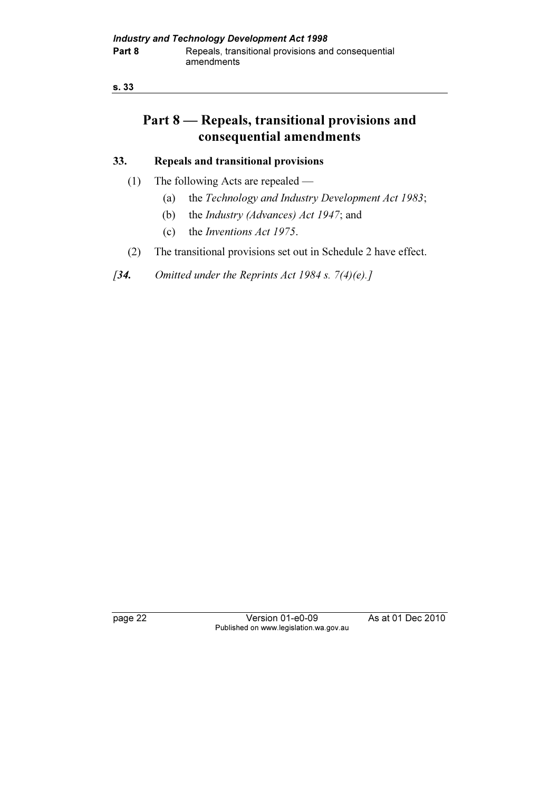## Part 8 — Repeals, transitional provisions and consequential amendments

### 33. Repeals and transitional provisions

- (1) The following Acts are repealed
	- (a) the Technology and Industry Development Act 1983;
	- (b) the Industry (Advances) Act 1947; and
	- (c) the Inventions Act 1975.
- (2) The transitional provisions set out in Schedule 2 have effect.
- [34. Omitted under the Reprints Act 1984 s.  $7(4)(e)$ .]

page 22 Version 01-e0-09 As at 01 Dec 2010 Published on www.legislation.wa.gov.au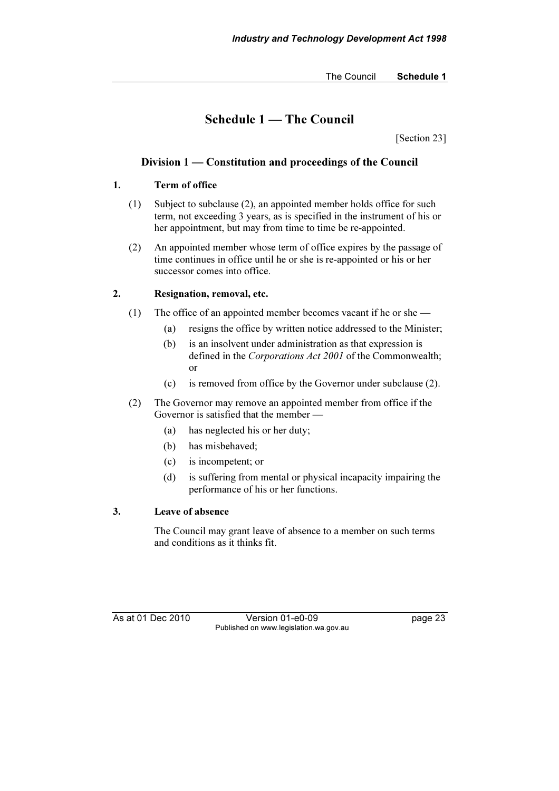The Council Schedule 1

### Schedule 1 — The Council

[Section 23]

### Division 1 — Constitution and proceedings of the Council

### 1. Term of office

- (1) Subject to subclause (2), an appointed member holds office for such term, not exceeding 3 years, as is specified in the instrument of his or her appointment, but may from time to time be re-appointed.
- (2) An appointed member whose term of office expires by the passage of time continues in office until he or she is re-appointed or his or her successor comes into office.

### 2. Resignation, removal, etc.

- (1) The office of an appointed member becomes vacant if he or she
	- (a) resigns the office by written notice addressed to the Minister;
	- (b) is an insolvent under administration as that expression is defined in the Corporations Act 2001 of the Commonwealth; or
	- (c) is removed from office by the Governor under subclause (2).
- (2) The Governor may remove an appointed member from office if the Governor is satisfied that the member —
	- (a) has neglected his or her duty;
	- (b) has misbehaved;
	- (c) is incompetent; or
	- (d) is suffering from mental or physical incapacity impairing the performance of his or her functions.

### 3. Leave of absence

 The Council may grant leave of absence to a member on such terms and conditions as it thinks fit.

As at 01 Dec 2010 Version 01-e0-09 Page 23 Published on www.legislation.wa.gov.au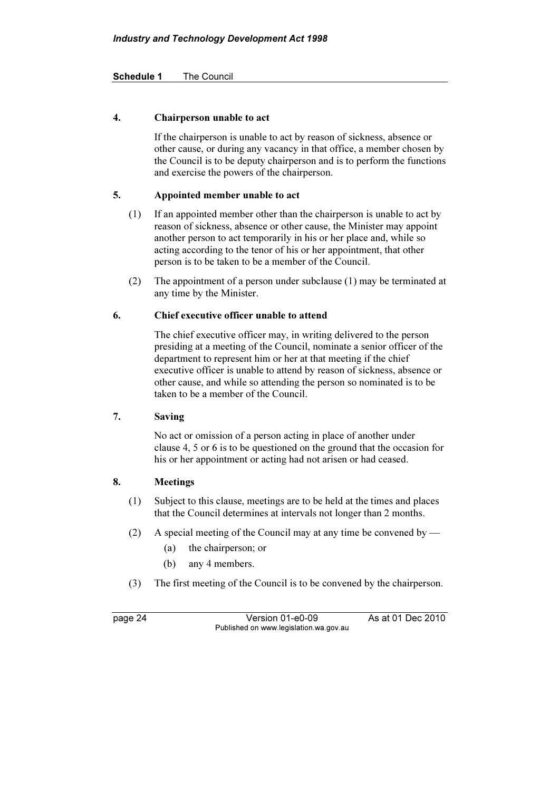### Schedule 1 The Council

### 4. Chairperson unable to act

 If the chairperson is unable to act by reason of sickness, absence or other cause, or during any vacancy in that office, a member chosen by the Council is to be deputy chairperson and is to perform the functions and exercise the powers of the chairperson.

### 5. Appointed member unable to act

- (1) If an appointed member other than the chairperson is unable to act by reason of sickness, absence or other cause, the Minister may appoint another person to act temporarily in his or her place and, while so acting according to the tenor of his or her appointment, that other person is to be taken to be a member of the Council.
- (2) The appointment of a person under subclause (1) may be terminated at any time by the Minister.

#### 6. Chief executive officer unable to attend

 The chief executive officer may, in writing delivered to the person presiding at a meeting of the Council, nominate a senior officer of the department to represent him or her at that meeting if the chief executive officer is unable to attend by reason of sickness, absence or other cause, and while so attending the person so nominated is to be taken to be a member of the Council.

### 7. Saving

 No act or omission of a person acting in place of another under clause 4, 5 or 6 is to be questioned on the ground that the occasion for his or her appointment or acting had not arisen or had ceased.

#### 8. Meetings

- (1) Subject to this clause, meetings are to be held at the times and places that the Council determines at intervals not longer than 2 months.
- (2) A special meeting of the Council may at any time be convened by
	- (a) the chairperson; or
	- (b) any 4 members.
- (3) The first meeting of the Council is to be convened by the chairperson.

page 24 Version 01-e0-09 As at 01 Dec 2010 Published on www.legislation.wa.gov.au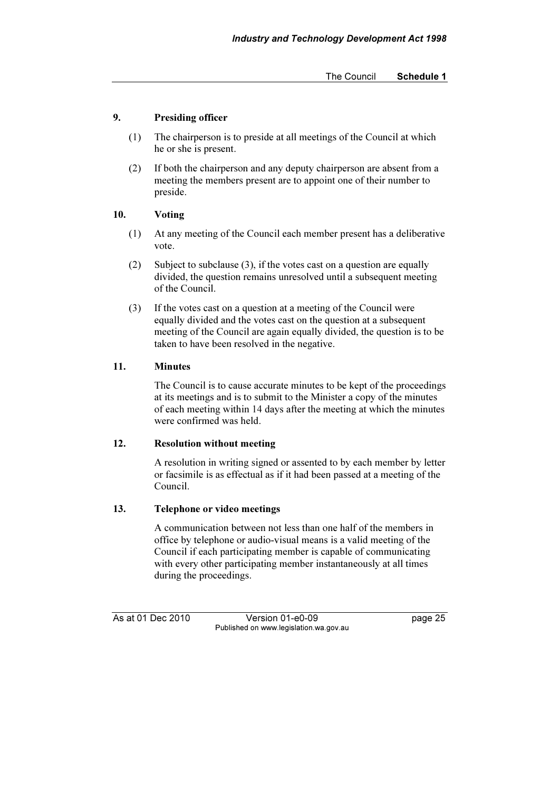The Council Schedule 1

### 9. Presiding officer

- (1) The chairperson is to preside at all meetings of the Council at which he or she is present.
- (2) If both the chairperson and any deputy chairperson are absent from a meeting the members present are to appoint one of their number to preside.

### 10. Voting

- (1) At any meeting of the Council each member present has a deliberative vote.
- (2) Subject to subclause (3), if the votes cast on a question are equally divided, the question remains unresolved until a subsequent meeting of the Council.
- (3) If the votes cast on a question at a meeting of the Council were equally divided and the votes cast on the question at a subsequent meeting of the Council are again equally divided, the question is to be taken to have been resolved in the negative.

### 11. Minutes

 The Council is to cause accurate minutes to be kept of the proceedings at its meetings and is to submit to the Minister a copy of the minutes of each meeting within 14 days after the meeting at which the minutes were confirmed was held.

### 12. Resolution without meeting

 A resolution in writing signed or assented to by each member by letter or facsimile is as effectual as if it had been passed at a meeting of the Council.

### 13. Telephone or video meetings

 A communication between not less than one half of the members in office by telephone or audio-visual means is a valid meeting of the Council if each participating member is capable of communicating with every other participating member instantaneously at all times during the proceedings.

As at 01 Dec 2010 Version 01-e0-09 Page 25 Published on www.legislation.wa.gov.au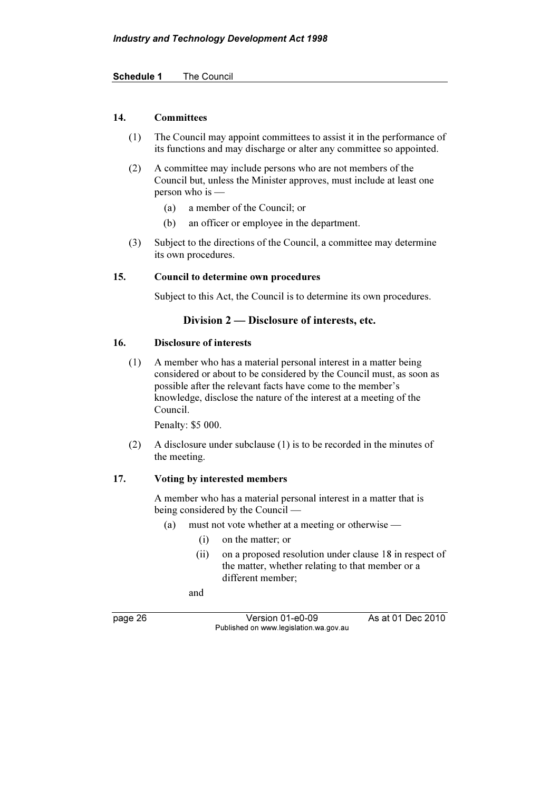Schedule 1 The Council

### 14. Committees

- (1) The Council may appoint committees to assist it in the performance of its functions and may discharge or alter any committee so appointed.
- (2) A committee may include persons who are not members of the Council but, unless the Minister approves, must include at least one person who is —
	- (a) a member of the Council; or
	- (b) an officer or employee in the department.
- (3) Subject to the directions of the Council, a committee may determine its own procedures.

### 15. Council to determine own procedures

Subject to this Act, the Council is to determine its own procedures.

### Division 2 — Disclosure of interests, etc.

#### 16. Disclosure of interests

 (1) A member who has a material personal interest in a matter being considered or about to be considered by the Council must, as soon as possible after the relevant facts have come to the member's knowledge, disclose the nature of the interest at a meeting of the Council.

Penalty: \$5 000.

 (2) A disclosure under subclause (1) is to be recorded in the minutes of the meeting.

### 17. Voting by interested members

 A member who has a material personal interest in a matter that is being considered by the Council —

- (a) must not vote whether at a meeting or otherwise
	- (i) on the matter; or
	- (ii) on a proposed resolution under clause 18 in respect of the matter, whether relating to that member or a different member;

and

page 26 Version 01-e0-09 As at 01 Dec 2010 Published on www.legislation.wa.gov.au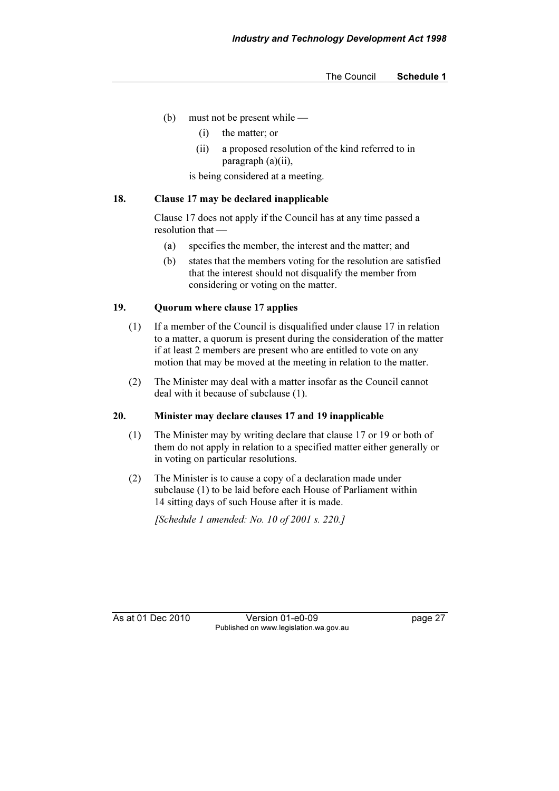- (b) must not be present while
	- (i) the matter; or
	- (ii) a proposed resolution of the kind referred to in paragraph (a)(ii),

is being considered at a meeting.

#### 18. Clause 17 may be declared inapplicable

 Clause 17 does not apply if the Council has at any time passed a resolution that —

- (a) specifies the member, the interest and the matter; and
- (b) states that the members voting for the resolution are satisfied that the interest should not disqualify the member from considering or voting on the matter.

### 19. Quorum where clause 17 applies

- (1) If a member of the Council is disqualified under clause 17 in relation to a matter, a quorum is present during the consideration of the matter if at least 2 members are present who are entitled to vote on any motion that may be moved at the meeting in relation to the matter.
- (2) The Minister may deal with a matter insofar as the Council cannot deal with it because of subclause (1).

### 20. Minister may declare clauses 17 and 19 inapplicable

- (1) The Minister may by writing declare that clause 17 or 19 or both of them do not apply in relation to a specified matter either generally or in voting on particular resolutions.
- (2) The Minister is to cause a copy of a declaration made under subclause (1) to be laid before each House of Parliament within 14 sitting days of such House after it is made.

[Schedule 1 amended: No. 10 of 2001 s. 220.]

As at 01 Dec 2010 Version 01-e0-09 Page 27 Published on www.legislation.wa.gov.au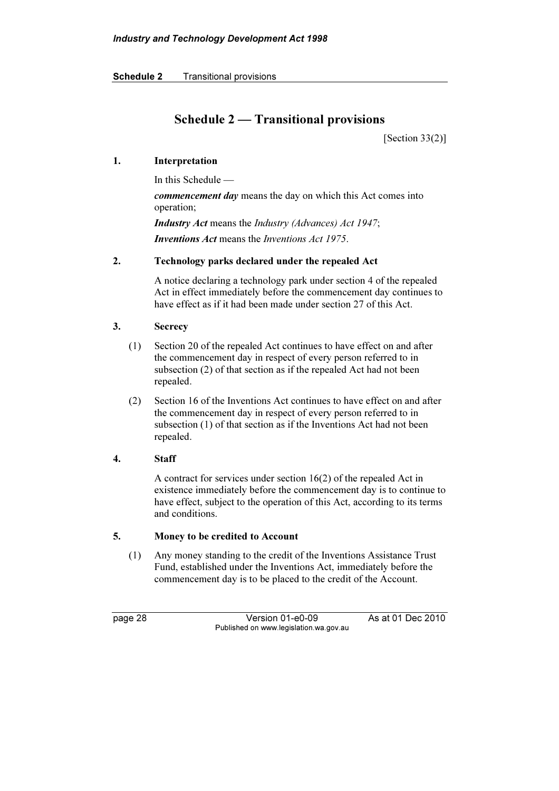Schedule 2 Transitional provisions

### Schedule 2 — Transitional provisions

[Section  $33(2)$ ]

### 1. Interpretation

In this Schedule —

commencement day means the day on which this Act comes into operation;

Industry Act means the Industry (Advances) Act 1947; Inventions Act means the Inventions Act 1975.

### 2. Technology parks declared under the repealed Act

 A notice declaring a technology park under section 4 of the repealed Act in effect immediately before the commencement day continues to have effect as if it had been made under section 27 of this Act.

### 3. Secrecy

- (1) Section 20 of the repealed Act continues to have effect on and after the commencement day in respect of every person referred to in subsection (2) of that section as if the repealed Act had not been repealed.
- (2) Section 16 of the Inventions Act continues to have effect on and after the commencement day in respect of every person referred to in subsection (1) of that section as if the Inventions Act had not been repealed.

### 4. Staff

 A contract for services under section 16(2) of the repealed Act in existence immediately before the commencement day is to continue to have effect, subject to the operation of this Act, according to its terms and conditions.

### 5. Money to be credited to Account

 (1) Any money standing to the credit of the Inventions Assistance Trust Fund, established under the Inventions Act, immediately before the commencement day is to be placed to the credit of the Account.

page 28 Version 01-e0-09 As at 01 Dec 2010 Published on www.legislation.wa.gov.au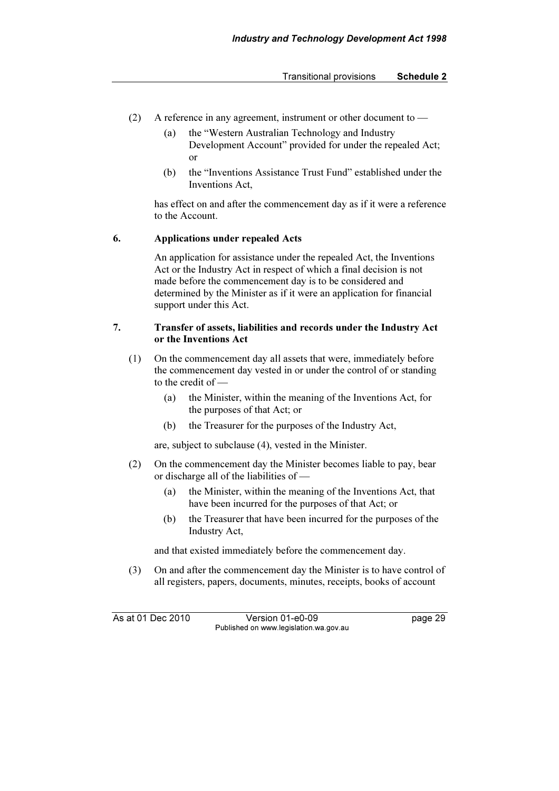#### Transitional provisions Schedule 2

- (2) A reference in any agreement, instrument or other document to
	- (a) the "Western Australian Technology and Industry Development Account" provided for under the repealed Act; or
	- (b) the "Inventions Assistance Trust Fund" established under the Inventions Act,

 has effect on and after the commencement day as if it were a reference to the Account.

### 6. Applications under repealed Acts

 An application for assistance under the repealed Act, the Inventions Act or the Industry Act in respect of which a final decision is not made before the commencement day is to be considered and determined by the Minister as if it were an application for financial support under this Act.

#### 7. Transfer of assets, liabilities and records under the Industry Act or the Inventions Act

- (1) On the commencement day all assets that were, immediately before the commencement day vested in or under the control of or standing to the credit of —
	- (a) the Minister, within the meaning of the Inventions Act, for the purposes of that Act; or
	- (b) the Treasurer for the purposes of the Industry Act,

are, subject to subclause (4), vested in the Minister.

- (2) On the commencement day the Minister becomes liable to pay, bear or discharge all of the liabilities of —
	- (a) the Minister, within the meaning of the Inventions Act, that have been incurred for the purposes of that Act; or
	- (b) the Treasurer that have been incurred for the purposes of the Industry Act,

and that existed immediately before the commencement day.

 (3) On and after the commencement day the Minister is to have control of all registers, papers, documents, minutes, receipts, books of account

As at 01 Dec 2010 Version 01-e0-09 page 29 Published on www.legislation.wa.gov.au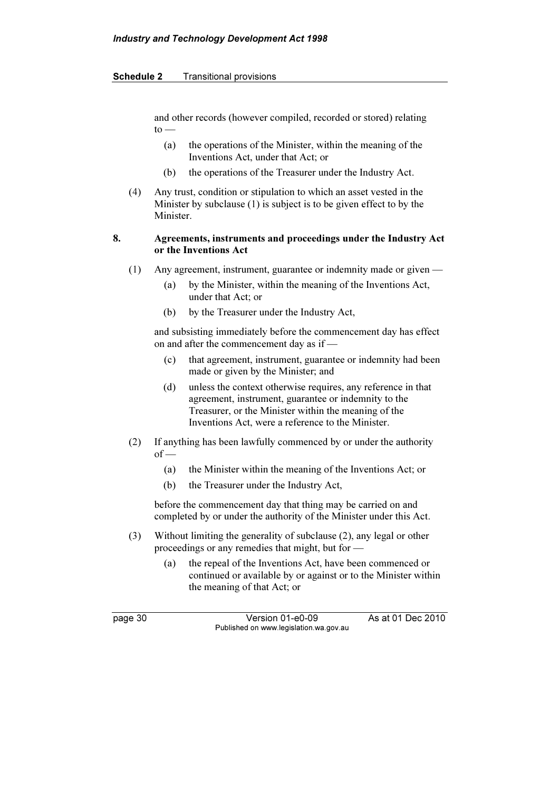#### Schedule 2 Transitional provisions

and other records (however compiled, recorded or stored) relating  $to -$ 

- (a) the operations of the Minister, within the meaning of the Inventions Act, under that Act; or
- (b) the operations of the Treasurer under the Industry Act.
- (4) Any trust, condition or stipulation to which an asset vested in the Minister by subclause (1) is subject is to be given effect to by the Minister.

### 8. Agreements, instruments and proceedings under the Industry Act or the Inventions Act

- (1) Any agreement, instrument, guarantee or indemnity made or given
	- (a) by the Minister, within the meaning of the Inventions Act, under that Act; or
	- (b) by the Treasurer under the Industry Act,

 and subsisting immediately before the commencement day has effect on and after the commencement day as if —

- (c) that agreement, instrument, guarantee or indemnity had been made or given by the Minister; and
- (d) unless the context otherwise requires, any reference in that agreement, instrument, guarantee or indemnity to the Treasurer, or the Minister within the meaning of the Inventions Act, were a reference to the Minister.
- (2) If anything has been lawfully commenced by or under the authority  $of$  —
	- (a) the Minister within the meaning of the Inventions Act; or
	- (b) the Treasurer under the Industry Act,

 before the commencement day that thing may be carried on and completed by or under the authority of the Minister under this Act.

- (3) Without limiting the generality of subclause (2), any legal or other proceedings or any remedies that might, but for —
	- (a) the repeal of the Inventions Act, have been commenced or continued or available by or against or to the Minister within the meaning of that Act; or

page 30 Version 01-e0-09 As at 01 Dec 2010 Published on www.legislation.wa.gov.au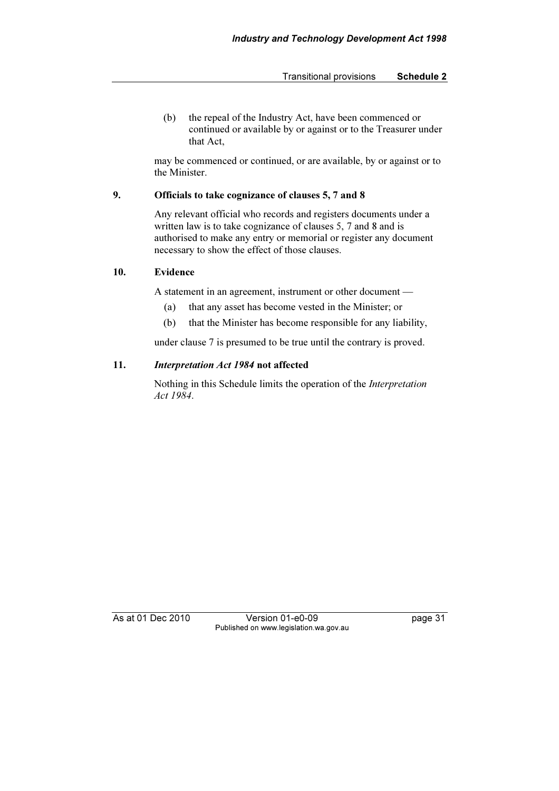(b) the repeal of the Industry Act, have been commenced or continued or available by or against or to the Treasurer under that Act,

 may be commenced or continued, or are available, by or against or to the Minister.

### 9. Officials to take cognizance of clauses 5, 7 and 8

 Any relevant official who records and registers documents under a written law is to take cognizance of clauses 5, 7 and 8 and is authorised to make any entry or memorial or register any document necessary to show the effect of those clauses.

### 10. Evidence

A statement in an agreement, instrument or other document —

- (a) that any asset has become vested in the Minister; or
- (b) that the Minister has become responsible for any liability,

under clause 7 is presumed to be true until the contrary is proved.

### 11. Interpretation Act 1984 not affected

 Nothing in this Schedule limits the operation of the Interpretation Act 1984.

As at 01 Dec 2010 Version 01-e0-09 Page 31 Published on www.legislation.wa.gov.au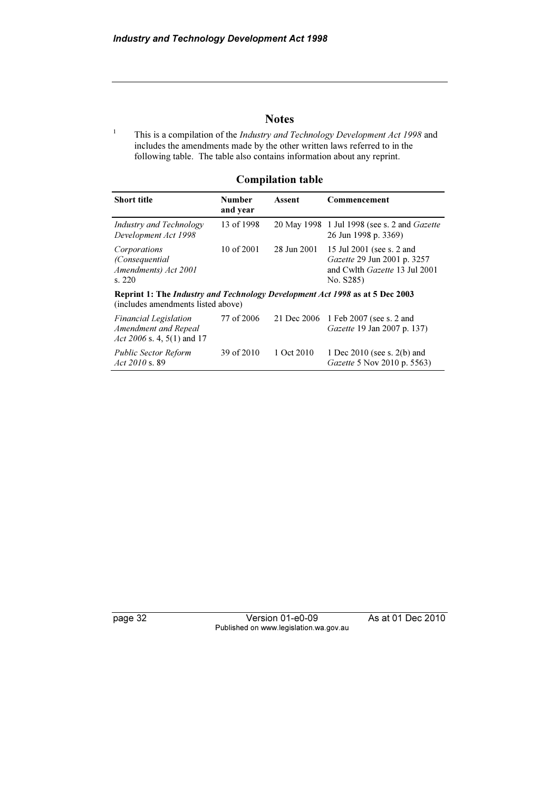### **Notes**

1 This is a compilation of the Industry and Technology Development Act 1998 and includes the amendments made by the other written laws referred to in the following table. The table also contains information about any reprint.

### Compilation table

| <b>Short title</b>                                                                                                 | <b>Number</b><br>and year | Assent      | Commencement                                                                                           |  |  |
|--------------------------------------------------------------------------------------------------------------------|---------------------------|-------------|--------------------------------------------------------------------------------------------------------|--|--|
| Industry and Technology<br>Development Act 1998                                                                    | 13 of 1998                |             | 20 May 1998 1 Jul 1998 (see s. 2 and <i>Gazette</i><br>26 Jun 1998 p. 3369)                            |  |  |
| Corporations<br>(Consequential)<br>Amendments) Act 2001<br>s. 220                                                  | 10 of $2001$              | 28 Jun 2001 | 15 Jul 2001 (see s. 2 and<br>Gazette 29 Jun 2001 p. 3257<br>and Cwlth Gazette 13 Jul 2001<br>No. S285) |  |  |
| Reprint 1: The Industry and Technology Development Act 1998 as at 5 Dec 2003<br>(includes amendments listed above) |                           |             |                                                                                                        |  |  |
| <b>Financial Legislation</b><br>Amendment and Repeal<br>Act 2006 s. 4, 5(1) and 17                                 | 77 of 2006                | 21 Dec 2006 | 1 Feb 2007 (see s. 2 and<br>Gazette 19 Jan 2007 p. 137)                                                |  |  |
| <b>Public Sector Reform</b><br>Act $2010$ s. 89                                                                    | 39 of 2010                | 1 Oct 2010  | 1 Dec $2010$ (see s. $2(b)$ and<br>Gazette 5 Nov 2010 p. 5563)                                         |  |  |

page 32 Version 01-e0-09 As at 01 Dec 2010 Published on www.legislation.wa.gov.au